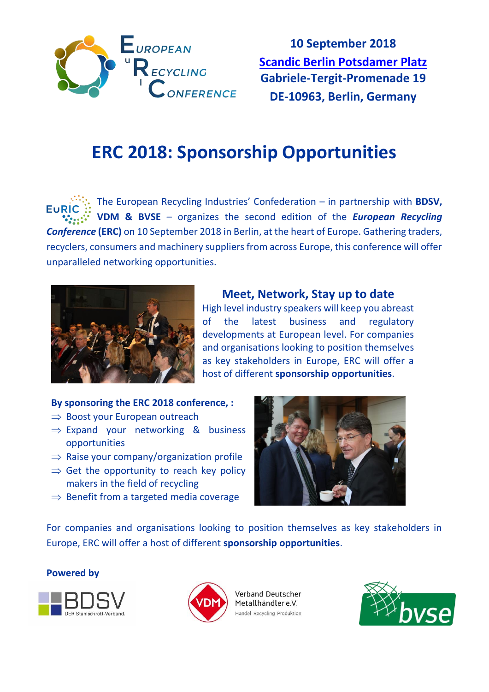

**10 September 2018 [Scandic Berlin Potsdamer Platz](https://goo.gl/maps/i1nevkyMt2y) Gabriele-Tergit-Promenade 19 DE-10963, Berlin, Germany**

# **ERC 2018: Sponsorship Opportunities**

The European Recycling Industries' Confederation – in partnership with **BDSV,**  EuRİ **VDM & BVSE** – organizes the second edition of the *European Recycling Conference* **(ERC)** on 10 September 2018 in Berlin, at the heart of Europe. Gathering traders, recyclers, consumers and machinery suppliers from across Europe, this conference will offer unparalleled networking opportunities.



## **Meet, Network, Stay up to date**

High level industry speakers will keep you abreast of the latest business and regulatory developments at European level. For companies and organisations looking to position themselves as key stakeholders in Europe, ERC will offer a host of different **sponsorship opportunities**.

#### **By sponsoring the ERC 2018 conference, :**

- $\Rightarrow$  Boost your European outreach
- $\Rightarrow$  Expand your networking & business opportunities
- $\Rightarrow$  Raise your company/organization profile
- $\Rightarrow$  Get the opportunity to reach key policy makers in the field of recycling
- $\Rightarrow$  Benefit from a targeted media coverage



For companies and organisations looking to position themselves as key stakeholders in Europe, ERC will offer a host of different **sponsorship opportunities**.

#### **Powered by**





Verband Deutscher Metallhändler e.V. Handel Recycling Produktion